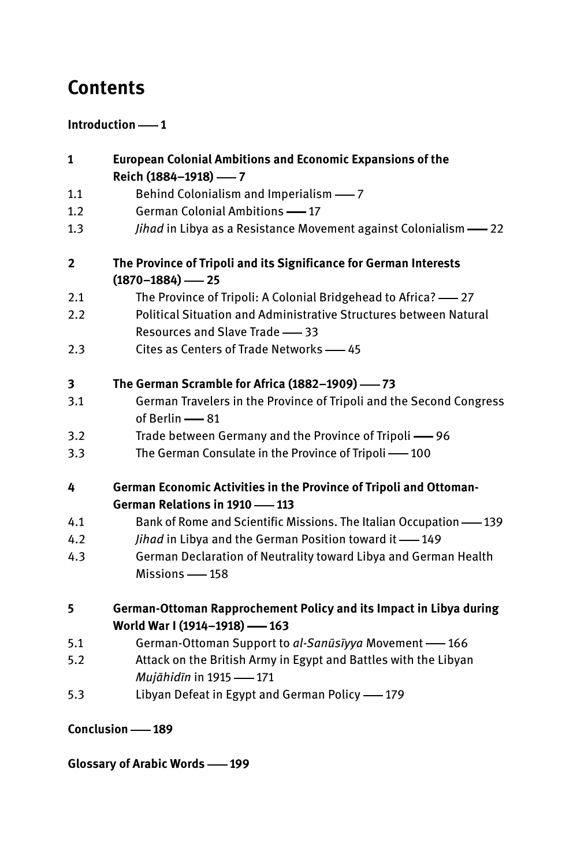## **Contents**

## **Introduction** — 1

| 1                | European Colonial Ambitions and Economic Expansions of the          |
|------------------|---------------------------------------------------------------------|
|                  | Reich (1884-1918) - 7                                               |
| 1.1              | Behind Colonialism and Imperialism -7                               |
| 1.2              | German Colonial Ambitions -17                                       |
| 1.3              | Jihad in Libya as a Resistance Movement against Colonialism -22     |
| $\overline{2}$   | The Province of Tripoli and its Significance for German Interests   |
|                  | $(1870 - 1884)$ - 25                                                |
| 2.1              | The Province of Tripoli: A Colonial Bridgehead to Africa? -27       |
| 2.2              | Political Situation and Administrative Structures between Natural   |
|                  | Resources and Slave Trade -83                                       |
| 2.3              | Cites as Centers of Trade Networks - 45                             |
| 3                | The German Scramble for Africa (1882-1909) -73                      |
| 3.1              | German Travelers in the Province of Tripoli and the Second Congress |
|                  | of Berlin -81                                                       |
| 3.2              | Trade between Germany and the Province of Tripoli -96               |
| 3.3              | The German Consulate in the Province of Tripoli -100                |
| 4                | German Economic Activities in the Province of Tripoli and Ottoman-  |
|                  | German Relations in 1910 -113                                       |
| 4.1              | Bank of Rome and Scientific Missions. The Italian Occupation -139   |
| 4.2              | Jihad in Libya and the German Position toward it -149               |
| 4.3              | German Declaration of Neutrality toward Libya and German Health     |
|                  | Missions - 158                                                      |
| 5                | German-Ottoman Rapprochement Policy and its Impact in Libya during  |
|                  | World War I (1914-1918) -163                                        |
| 5.1              | German-Ottoman Support to al-Sanūsīyya Movement -166                |
| 5.2              | Attack on the British Army in Egypt and Battles with the Libyan     |
|                  | Mujāhidīn in 1915 -171                                              |
| 5.3              | Libyan Defeat in Egypt and German Policy -179                       |
| Conclusion - 189 |                                                                     |

Glossary of Arabic Words -- 199